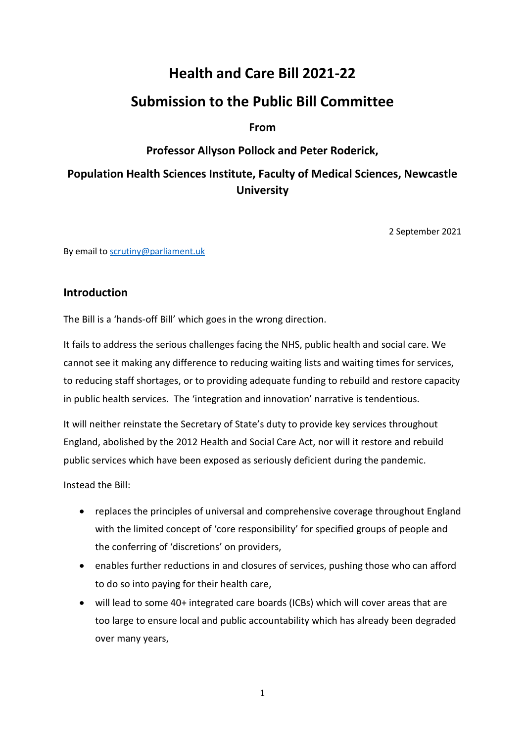# **Health and Care Bill 2021-22**

# **Submission to the Public Bill Committee**

## **From**

## **Professor Allyson Pollock and Peter Roderick,**

# **Population Health Sciences Institute, Faculty of Medical Sciences, Newcastle University**

2 September 2021

By email t[o scrutiny@parliament.uk](mailto:scrutiny@parliament.uk)

### **Introduction**

The Bill is a 'hands-off Bill' which goes in the wrong direction.

It fails to address the serious challenges facing the NHS, public health and social care. We cannot see it making any difference to reducing waiting lists and waiting times for services, to reducing staff shortages, or to providing adequate funding to rebuild and restore capacity in public health services. The 'integration and innovation' narrative is tendentious.

It will neither reinstate the Secretary of State's duty to provide key services throughout England, abolished by the 2012 Health and Social Care Act, nor will it restore and rebuild public services which have been exposed as seriously deficient during the pandemic.

Instead the Bill:

- replaces the principles of universal and comprehensive coverage throughout England with the limited concept of 'core responsibility' for specified groups of people and the conferring of 'discretions' on providers,
- enables further reductions in and closures of services, pushing those who can afford to do so into paying for their health care,
- will lead to some 40+ integrated care boards (ICBs) which will cover areas that are too large to ensure local and public accountability which has already been degraded over many years,

1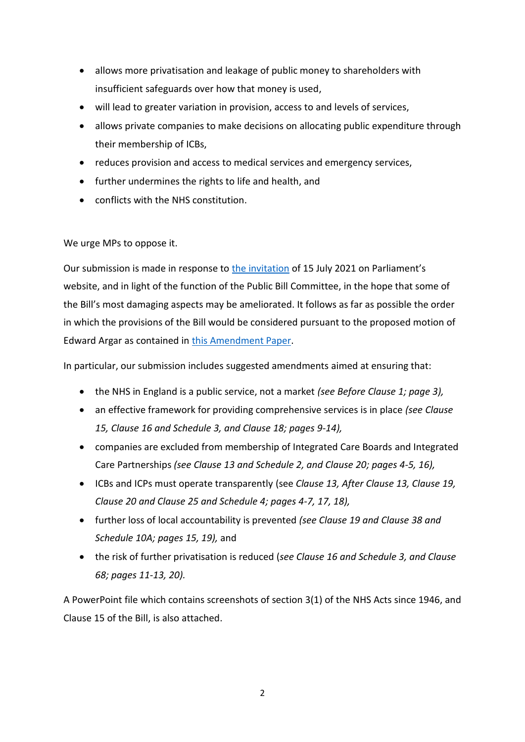- allows more privatisation and leakage of public money to shareholders with insufficient safeguards over how that money is used,
- will lead to greater variation in provision, access to and levels of services,
- allows private companies to make decisions on allocating public expenditure through their membership of ICBs,
- reduces provision and access to medical services and emergency services,
- further undermines the rights to life and health, and
- conflicts with the NHS constitution.

We urge MPs to oppose it.

Our submission is made in response t[o the invitation](https://www.parliament.uk/business/news/2021/july/have-your-say-on-the-health-and-care-bill/) of 15 July 2021 on Parliament's website, and in light of the function of the Public Bill Committee, in the hope that some of the Bill's most damaging aspects may be ameliorated. It follows as far as possible the order in which the provisions of the Bill would be considered pursuant to the proposed motion of Edward Argar as contained in [this Amendment Paper.](https://publications.parliament.uk/pa/bills/cbill/58-02/0140/amend/health_rm_pbc_0723.pdf)

In particular, our submission includes suggested amendments aimed at ensuring that:

- the NHS in England is a public service, not a market *(see Before Clause 1; page 3),*
- an effective framework for providing comprehensive services is in place *(see Clause 15, Clause 16 and Schedule 3, and Clause 18; pages 9-14),*
- companies are excluded from membership of Integrated Care Boards and Integrated Care Partnerships *(see Clause 13 and Schedule 2, and Clause 20; pages 4-5, 16),*
- ICBs and ICPs must operate transparently (see *Clause 13, After Clause 13, Clause 19, Clause 20 and Clause 25 and Schedule 4; pages 4-7, 17, 18),*
- further loss of local accountability is prevented *(see Clause 19 and Clause 38 and Schedule 10A; pages 15, 19),* and
- the risk of further privatisation is reduced (*see Clause 16 and Schedule 3, and Clause 68; pages 11-13, 20).*

A PowerPoint file which contains screenshots of section 3(1) of the NHS Acts since 1946, and Clause 15 of the Bill, is also attached.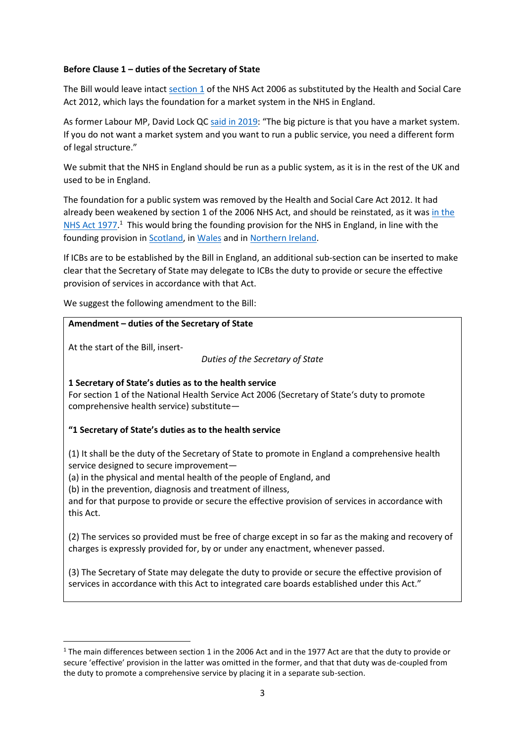#### **Before Clause 1 – duties of the Secretary of State**

The Bill would leave intac[t section 1](https://www.legislation.gov.uk/ukpga/2006/41/section/1) of the NHS Act 2006 as substituted by the Health and Social Care Act 2012, which lays the foundation for a market system in the NHS in England.

As former Labour MP, David Lock Q[C said in 2019](http://data.parliament.uk/writtenevidence/committeeevidence.svc/evidencedocument/health-and-social-care-committee/nhs-longterm-plan-legislative-proposals/oral/101550.html): "The big picture is that you have a market system. If you do not want a market system and you want to run a public service, you need a different form of legal structure."

We submit that the NHS in England should be run as a public system, as it is in the rest of the UK and used to be in England.

The foundation for a public system was removed by the Health and Social Care Act 2012. It had already been weakened by section 1 of the 2006 NHS Act, and should be reinstated, as it wa[s in the](https://www.legislation.gov.uk/ukpga/1977/49/section/1/enacted)  [NHS Act 1977.](https://www.legislation.gov.uk/ukpga/1977/49/section/1/enacted)<sup>1</sup> This would bring the founding provision for the NHS in England, in line with the founding provision in [Scotland,](https://www.legislation.gov.uk/ukpga/1978/29/section/1) i[n Wales](https://www.legislation.gov.uk/ukpga/2006/42/section/1) and i[n Northern Ireland.](https://www.legislation.gov.uk/nia/2009/1/crossheading/departments-role-in-promoting-and-providing-health-and-social-care)

If ICBs are to be established by the Bill in England, an additional sub-section can be inserted to make clear that the Secretary of State may delegate to ICBs the duty to provide or secure the effective provision of services in accordance with that Act.

We suggest the following amendment to the Bill:

#### **Amendment – duties of the Secretary of State**

At the start of the Bill, insert-

**.** 

*Duties of the Secretary of State*

**1 Secretary of State's duties as to the health service**

For section 1 of the National Health Service Act 2006 (Secretary of State's duty to promote comprehensive health service) substitute—

#### **"1 Secretary of State's duties as to the health service**

(1) It shall be the duty of the Secretary of State to promote in England a comprehensive health service designed to secure improvement—

(a) in the physical and mental health of the people of England, and

(b) in the prevention, diagnosis and treatment of illness,

and for that purpose to provide or secure the effective provision of services in accordance with this Act.

(2) The services so provided must be free of charge except in so far as the making and recovery of charges is expressly provided for, by or under any enactment, whenever passed.

(3) The Secretary of State may delegate the duty to provide or secure the effective provision of services in accordance with this Act to integrated care boards established under this Act."

<sup>&</sup>lt;sup>1</sup> The main differences between section 1 in the 2006 Act and in the 1977 Act are that the duty to provide or secure 'effective' provision in the latter was omitted in the former, and that that duty was de-coupled from the duty to promote a comprehensive service by placing it in a separate sub-section.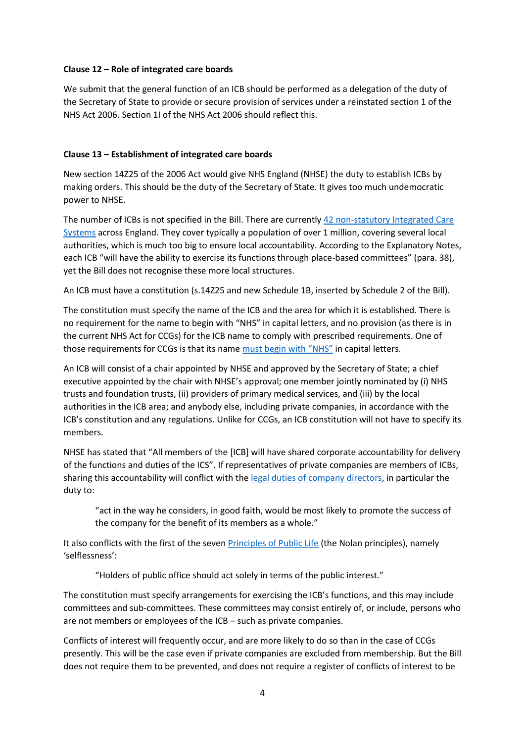#### **Clause 12 – Role of integrated care boards**

We submit that the general function of an ICB should be performed as a delegation of the duty of the Secretary of State to provide or secure provision of services under a reinstated section 1 of the NHS Act 2006. Section 1I of the NHS Act 2006 should reflect this.

#### **Clause 13 – Establishment of integrated care boards**

New section 14Z25 of the 2006 Act would give NHS England (NHSE) the duty to establish ICBs by making orders. This should be the duty of the Secretary of State. It gives too much undemocratic power to NHSE.

The number of ICBs is not specified in the Bill. There are currently [42 non-statutory Integrated Care](https://www.england.nhs.uk/integratedcare/integrated-care-in-your-area/)  [Systems](https://www.england.nhs.uk/integratedcare/integrated-care-in-your-area/) across England. They cover typically a population of over 1 million, covering several local authorities, which is much too big to ensure local accountability. According to the Explanatory Notes, each ICB "will have the ability to exercise its functions through place-based committees" (para. 38), yet the Bill does not recognise these more local structures.

An ICB must have a constitution (s.14Z25 and new Schedule 1B, inserted by Schedule 2 of the Bill).

The constitution must specify the name of the ICB and the area for which it is established. There is no requirement for the name to begin with "NHS" in capital letters, and no provision (as there is in the current NHS Act for CCGs) for the ICB name to comply with prescribed requirements. One of those requirements for CCGs is that its name [must begin with "NHS"](https://www.legislation.gov.uk/uksi/2012/1631/regulation/4/made) in capital letters.

An ICB will consist of a chair appointed by NHSE and approved by the Secretary of State; a chief executive appointed by the chair with NHSE's approval; one member jointly nominated by (i) NHS trusts and foundation trusts, (ii) providers of primary medical services, and (iii) by the local authorities in the ICB area; and anybody else, including private companies, in accordance with the ICB's constitution and any regulations. Unlike for CCGs, an ICB constitution will not have to specify its members.

NHSE has stated that "All members of the [ICB] will have shared corporate accountability for delivery of the functions and duties of the ICS". If representatives of private companies are members of ICBs, sharing this accountability will conflict with th[e legal duties of company directors,](https://www.legislation.gov.uk/ukpga/2006/46/part/10/chapter/2) in particular the duty to:

"act in the way he considers, in good faith, would be most likely to promote the success of the company for the benefit of its members as a whole."

It also conflicts with the first of the seven **Principles of Public Life (the Nolan principles)**, namely 'selflessness':

"Holders of public office should act solely in terms of the public interest."

The constitution must specify arrangements for exercising the ICB's functions, and this may include committees and sub-committees. These committees may consist entirely of, or include, persons who are not members or employees of the ICB – such as private companies.

Conflicts of interest will frequently occur, and are more likely to do so than in the case of CCGs presently. This will be the case even if private companies are excluded from membership. But the Bill does not require them to be prevented, and does not require a register of conflicts of interest to be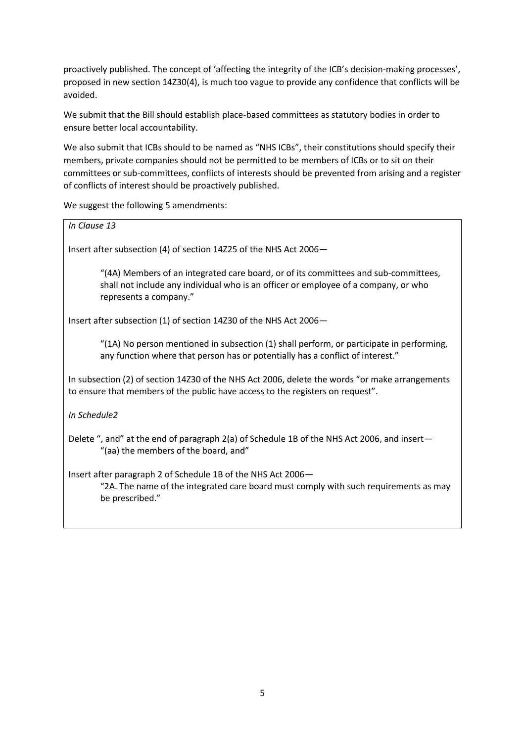proactively published. The concept of 'affecting the integrity of the ICB's decision-making processes', proposed in new section 14Z30(4), is much too vague to provide any confidence that conflicts will be avoided.

We submit that the Bill should establish place-based committees as statutory bodies in order to ensure better local accountability.

We also submit that ICBs should to be named as "NHS ICBs", their constitutions should specify their members, private companies should not be permitted to be members of ICBs or to sit on their committees or sub-committees, conflicts of interests should be prevented from arising and a register of conflicts of interest should be proactively published.

We suggest the following 5 amendments:

| $\alpha$ . Suppose the following 3 unichanteries                                                                                                                                                     |
|------------------------------------------------------------------------------------------------------------------------------------------------------------------------------------------------------|
| In Clause 13                                                                                                                                                                                         |
| Insert after subsection (4) of section 14Z25 of the NHS Act 2006-                                                                                                                                    |
| "(4A) Members of an integrated care board, or of its committees and sub-committees,<br>shall not include any individual who is an officer or employee of a company, or who<br>represents a company." |
| Insert after subsection (1) of section 14Z30 of the NHS Act 2006–                                                                                                                                    |
| "(1A) No person mentioned in subsection (1) shall perform, or participate in performing,<br>any function where that person has or potentially has a conflict of interest."                           |
| In subsection (2) of section 14Z30 of the NHS Act 2006, delete the words "or make arrangements<br>to ensure that members of the public have access to the registers on request".                     |
| In Schedule2                                                                                                                                                                                         |
| Delete ", and" at the end of paragraph 2(a) of Schedule 1B of the NHS Act 2006, and insert—<br>"(aa) the members of the board, and"                                                                  |
| Insert after paragraph 2 of Schedule 1B of the NHS Act 2006-<br>"2A. The name of the integrated care board must comply with such requirements as may<br>be prescribed."                              |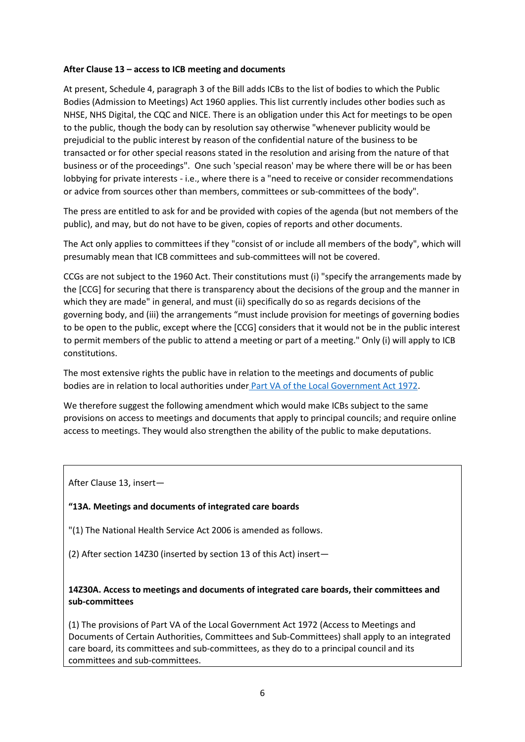#### **After Clause 13 – access to ICB meeting and documents**

At present, Schedule 4, paragraph 3 of the Bill adds ICBs to the list of bodies to which the Public Bodies (Admission to Meetings) Act 1960 applies. This list currently includes other bodies such as NHSE, NHS Digital, the CQC and NICE. There is an obligation under this Act for meetings to be open to the public, though the body can by resolution say otherwise "whenever publicity would be prejudicial to the public interest by reason of the confidential nature of the business to be transacted or for other special reasons stated in the resolution and arising from the nature of that business or of the proceedings". One such 'special reason' may be where there will be or has been lobbying for private interests - i.e., where there is a "need to receive or consider recommendations or advice from sources other than members, committees or sub-committees of the body".

The press are entitled to ask for and be provided with copies of the agenda (but not members of the public), and may, but do not have to be given, copies of reports and other documents.

The Act only applies to committees if they "consist of or include all members of the body", which will presumably mean that ICB committees and sub-committees will not be covered.

CCGs are not subject to the 1960 Act. Their constitutions must (i) "specify the arrangements made by the [CCG] for securing that there is transparency about the decisions of the group and the manner in which they are made" in general, and must (ii) specifically do so as regards decisions of the governing body, and (iii) the arrangements "must include provision for meetings of governing bodies to be open to the public, except where the [CCG] considers that it would not be in the public interest to permit members of the public to attend a meeting or part of a meeting." Only (i) will apply to ICB constitutions.

The most extensive rights the public have in relation to the meetings and documents of public bodies are in relation to local authorities under [Part VA of the Local Government Act 1972.](https://www.legislation.gov.uk/ukpga/1972/70/part/VA)

We therefore suggest the following amendment which would make ICBs subject to the same provisions on access to meetings and documents that apply to principal councils; and require online access to meetings. They would also strengthen the ability of the public to make deputations.

After Clause 13, insert—

#### **"13A. Meetings and documents of integrated care boards**

"(1) The National Health Service Act 2006 is amended as follows.

(2) After section 14Z30 (inserted by section 13 of this Act) insert—

**14Z30A. Access to meetings and documents of integrated care boards, their committees and sub-committees**

(1) The provisions of Part VA of the Local Government Act 1972 (Access to Meetings and Documents of Certain Authorities, Committees and Sub-Committees) shall apply to an integrated care board, its committees and sub-committees, as they do to a principal council and its committees and sub-committees.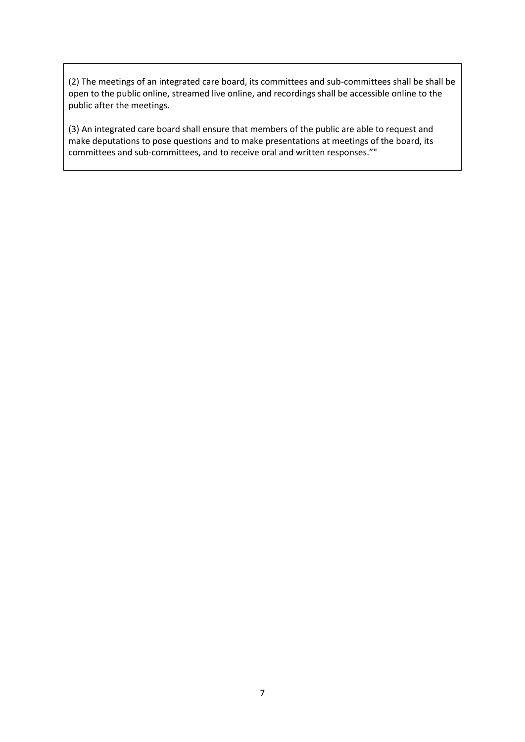(2) The meetings of an integrated care board, its committees and sub-committees shall be shall be open to the public online, streamed live online, and recordings shall be accessible online to the public after the meetings.

(3) An integrated care board shall ensure that members of the public are able to request and make deputations to pose questions and to make presentations at meetings of the board, its committees and sub-committees, and to receive oral and written responses.""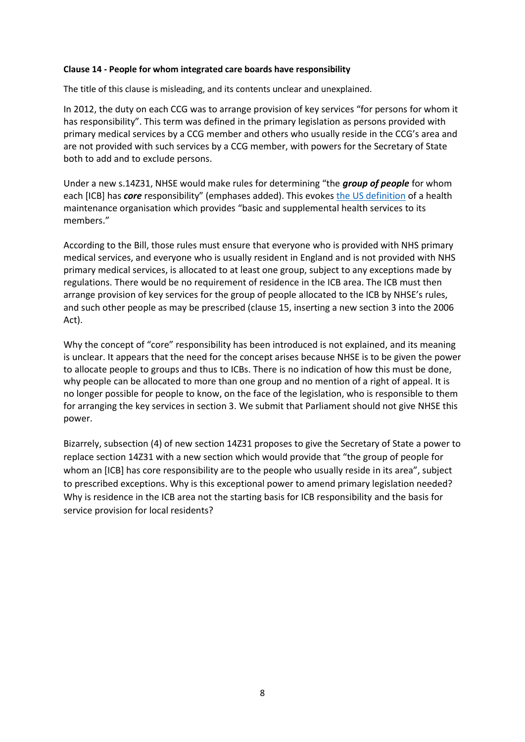#### **Clause 14 - People for whom integrated care boards have responsibility**

The title of this clause is misleading, and its contents unclear and unexplained.

In 2012, the duty on each CCG was to arrange provision of key services "for persons for whom it has responsibility". This term was defined in the primary legislation as persons provided with primary medical services by a CCG member and others who usually reside in the CCG's area and are not provided with such services by a CCG member, with powers for the Secretary of State both to add and to exclude persons.

Under a new s.14Z31, NHSE would make rules for determining "the *group of people* for whom each [ICB] has *core* responsibility" (emphases added). This evokes [the US definition](https://www.law.cornell.edu/uscode/text/42/300e) of a health maintenance organisation which provides "basic and supplemental health services to its members."

According to the Bill, those rules must ensure that everyone who is provided with NHS primary medical services, and everyone who is usually resident in England and is not provided with NHS primary medical services, is allocated to at least one group, subject to any exceptions made by regulations. There would be no requirement of residence in the ICB area. The ICB must then arrange provision of key services for the group of people allocated to the ICB by NHSE's rules, and such other people as may be prescribed (clause 15, inserting a new section 3 into the 2006 Act).

Why the concept of "core" responsibility has been introduced is not explained, and its meaning is unclear. It appears that the need for the concept arises because NHSE is to be given the power to allocate people to groups and thus to ICBs. There is no indication of how this must be done, why people can be allocated to more than one group and no mention of a right of appeal. It is no longer possible for people to know, on the face of the legislation, who is responsible to them for arranging the key services in section 3. We submit that Parliament should not give NHSE this power.

Bizarrely, subsection (4) of new section 14Z31 proposes to give the Secretary of State a power to replace section 14Z31 with a new section which would provide that "the group of people for whom an [ICB] has core responsibility are to the people who usually reside in its area", subject to prescribed exceptions. Why is this exceptional power to amend primary legislation needed? Why is residence in the ICB area not the starting basis for ICB responsibility and the basis for service provision for local residents?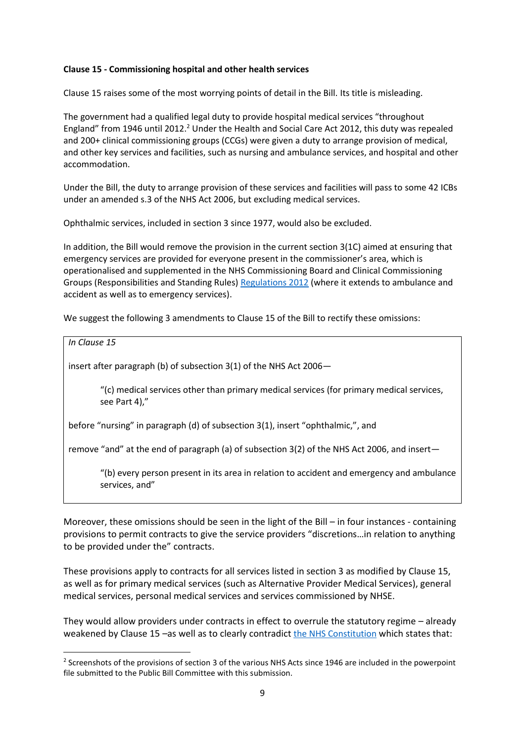#### **Clause 15 - Commissioning hospital and other health services**

Clause 15 raises some of the most worrying points of detail in the Bill. Its title is misleading.

The government had a qualified legal duty to provide hospital medical services "throughout England" from 1946 until 2012.<sup>2</sup> Under the Health and Social Care Act 2012, this duty was repealed and 200+ clinical commissioning groups (CCGs) were given a duty to arrange provision of medical, and other key services and facilities, such as nursing and ambulance services, and hospital and other accommodation.

Under the Bill, the duty to arrange provision of these services and facilities will pass to some 42 ICBs under an amended s.3 of the NHS Act 2006, but excluding medical services.

Ophthalmic services, included in section 3 since 1977, would also be excluded.

In addition, the Bill would remove the provision in the current section 3(1C) aimed at ensuring that emergency services are provided for everyone present in the commissioner's area, which is operationalised and supplemented in the NHS Commissioning Board and Clinical Commissioning Groups (Responsibilities and Standing Rules[\) Regulations 2012](https://www.legislation.gov.uk/uksi/2012/2996/schedule/1/paragraph/2) (where it extends to ambulance and accident as well as to emergency services).

We suggest the following 3 amendments to Clause 15 of the Bill to rectify these omissions:

*In Clause 15*

**.** 

insert after paragraph (b) of subsection 3(1) of the NHS Act 2006—

"(c) medical services other than primary medical services (for primary medical services, see Part 4),"

before "nursing" in paragraph (d) of subsection 3(1), insert "ophthalmic,", and

remove "and" at the end of paragraph (a) of subsection 3(2) of the NHS Act 2006, and insert—

"(b) every person present in its area in relation to accident and emergency and ambulance services, and"

Moreover, these omissions should be seen in the light of the Bill – in four instances - containing provisions to permit contracts to give the service providers "discretions…in relation to anything to be provided under the" contracts.

These provisions apply to contracts for all services listed in section 3 as modified by Clause 15, as well as for primary medical services (such as Alternative Provider Medical Services), general medical services, personal medical services and services commissioned by NHSE.

They would allow providers under contracts in effect to overrule the statutory regime – already weakened by Clause 15 –as well as to clearly contradict [the NHS Constitution](https://www.gov.uk/government/publications/the-nhs-constitution-for-england/the-nhs-constitution-for-england) which states that:

<sup>&</sup>lt;sup>2</sup> Screenshots of the provisions of section 3 of the various NHS Acts since 1946 are included in the powerpoint file submitted to the Public Bill Committee with this submission.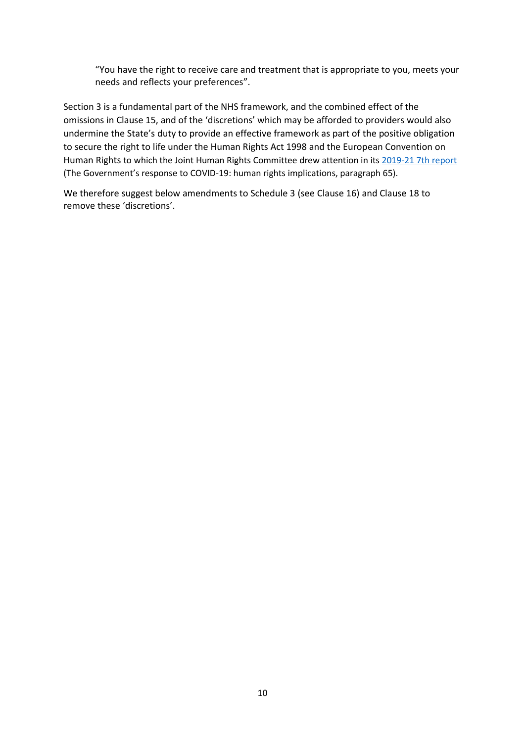"You have the right to receive care and treatment that is appropriate to you, meets your needs and reflects your preferences".

Section 3 is a fundamental part of the NHS framework, and the combined effect of the omissions in Clause 15, and of the 'discretions' which may be afforded to providers would also undermine the State's duty to provide an effective framework as part of the positive obligation to secure the right to life under the Human Rights Act 1998 and the European Convention on Human Rights to which the Joint Human Rights Committee drew attention in its [2019-21 7th report](https://publications.parliament.uk/pa/jt5801/jtselect/jtrights/265/26507.htm#_idTextAnchor037) (The Government's response to COVID-19: human rights implications, paragraph 65).

We therefore suggest below amendments to Schedule 3 (see Clause 16) and Clause 18 to remove these 'discretions'.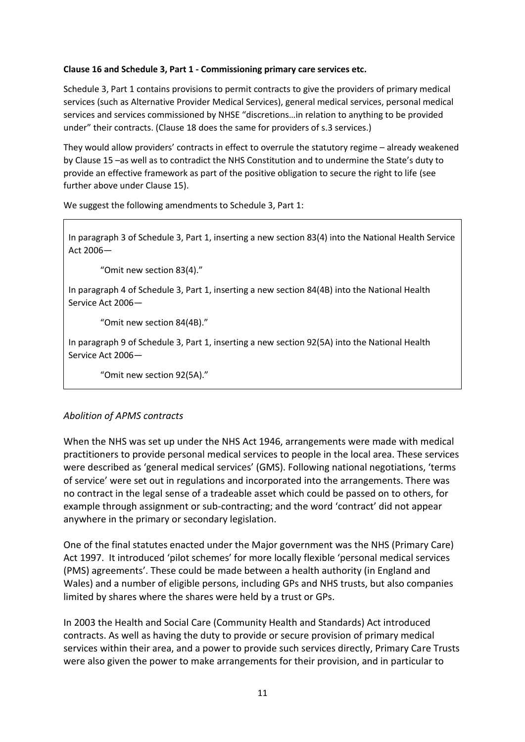#### **Clause 16 and Schedule 3, Part 1 - Commissioning primary care services etc.**

Schedule 3, Part 1 contains provisions to permit contracts to give the providers of primary medical services (such as Alternative Provider Medical Services), general medical services, personal medical services and services commissioned by NHSE "discretions…in relation to anything to be provided under" their contracts. (Clause 18 does the same for providers of s.3 services.)

They would allow providers' contracts in effect to overrule the statutory regime – already weakened by Clause 15 –as well as to contradict the NHS Constitution and to undermine the State's duty to provide an effective framework as part of the positive obligation to secure the right to life (see further above under Clause 15).

We suggest the following amendments to Schedule 3, Part 1:

In paragraph 3 of Schedule 3, Part 1, inserting a new section 83(4) into the National Health Service Act 2006—

"Omit new section 83(4)."

In paragraph 4 of Schedule 3, Part 1, inserting a new section 84(4B) into the National Health Service Act 2006—

"Omit new section 84(4B)."

In paragraph 9 of Schedule 3, Part 1, inserting a new section 92(5A) into the National Health Service Act 2006—

"Omit new section 92(5A)."

#### *Abolition of APMS contracts*

When the NHS was set up under the NHS Act 1946, arrangements were made with medical practitioners to provide personal medical services to people in the local area. These services were described as 'general medical services' (GMS). Following national negotiations, 'terms of service' were set out in regulations and incorporated into the arrangements. There was no contract in the legal sense of a tradeable asset which could be passed on to others, for example through assignment or sub-contracting; and the word 'contract' did not appear anywhere in the primary or secondary legislation.

One of the final statutes enacted under the Major government was the NHS (Primary Care) Act 1997. It introduced 'pilot schemes' for more locally flexible 'personal medical services (PMS) agreements'. These could be made between a health authority (in England and Wales) and a number of eligible persons, including GPs and NHS trusts, but also companies limited by shares where the shares were held by a trust or GPs.

In 2003 the Health and Social Care (Community Health and Standards) Act introduced contracts. As well as having the duty to provide or secure provision of primary medical services within their area, and a power to provide such services directly, Primary Care Trusts were also given the power to make arrangements for their provision, and in particular to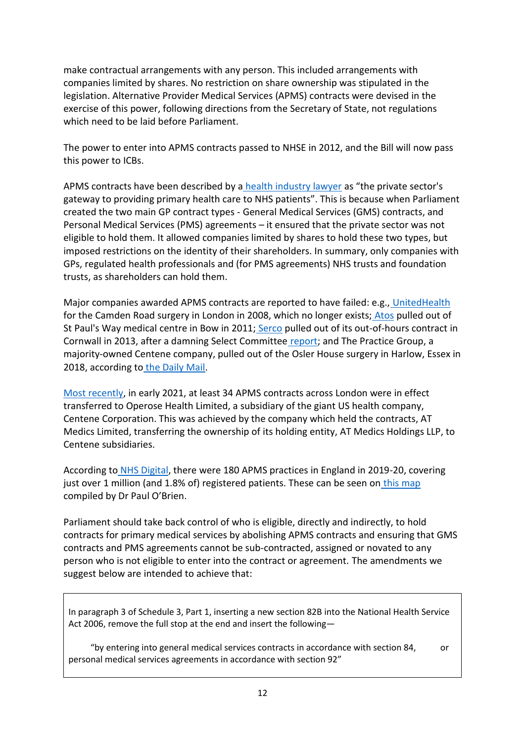make contractual arrangements with any person. This included arrangements with companies limited by shares. No restriction on share ownership was stipulated in the legislation. Alternative Provider Medical Services (APMS) contracts were devised in the exercise of this power, following directions from the Secretary of State, not regulations which need to be laid before Parliament.

The power to enter into APMS contracts passed to NHSE in 2012, and the Bill will now pass this power to ICBs.

APMS contracts have been described by a [health industry lawyer](https://www.cartercamerons.com/wp-content/uploads/2014/02/Bidding_for_NHS_contracts_-_APMS_contract_terms_and_conditions.pdf) as "the private sector's gateway to providing primary health care to NHS patients". This is because when Parliament created the two main GP contract types - General Medical Services (GMS) contracts, and Personal Medical Services (PMS) agreements – it ensured that the private sector was not eligible to hold them. It allowed companies limited by shares to hold these two types, but imposed restrictions on the identity of their shareholders. In summary, only companies with GPs, regulated health professionals and (for PMS agreements) NHS trusts and foundation trusts, as shareholders can hold them.

Major companies awarded APMS contracts are reported to have failed: e.g., [UnitedHealth](https://www.bmj.com/content/340/bmj.c1071) for the Camden Road surgery in London in 2008, which no longer exists; [Atos](https://www.theguardian.com/society/2011/apr/12/nhs-privatisation-future-policy) pulled out of St Paul's Way medical centre in Bow in 2011; [Serco](https://www.bmj.com/content/347/bmj.f7549) pulled out of its out-of-hours contract in Cornwall in 2013, after a damning Select Committee [report;](https://old.parliament.uk/business/committees/committees-a-z/commons-select/public-accounts-committee/news/out-of-hours-gp-service-in-cornwall/) and The Practice Group, a majority-owned Centene company, pulled out of the Osler House surgery in Harlow, Essex in 2018, according to [the Daily Mail.](https://www.dailymail.co.uk/news/article-5720255/A-profit-greedy-American-health-giant-thousands-Britain-lost-local-GP.html)

[Most recently,](https://www.theguardian.com/society/2021/feb/26/nhs-gp-practice-operator-with-500000-patients-passes-into-hands-of-us-health-insurer) in early 2021, at least 34 APMS contracts across London were in effect transferred to Operose Health Limited, a subsidiary of the giant US health company, Centene Corporation. This was achieved by the company which held the contracts, AT Medics Limited, transferring the ownership of its holding entity, AT Medics Holdings LLP, to Centene subsidiaries.

According to [NHS Digital,](https://digital.nhs.uk/data-and-information/publications/statistical/nhs-payments-to-general-practice/england-2019-20) there were 180 APMS practices in England in 2019-20, covering just over 1 million (and 1.8% of) registered patients. These can be seen on [this map](https://www.google.com/maps/d/viewer?mid=1sPwTEj9V-qxPP-jFl8uj60I8NEWtJKXs&ll=52.32083484615838%2C-2.157235211730874&z=7) compiled by Dr Paul O'Brien.

Parliament should take back control of who is eligible, directly and indirectly, to hold contracts for primary medical services by abolishing APMS contracts and ensuring that GMS contracts and PMS agreements cannot be sub-contracted, assigned or novated to any person who is not eligible to enter into the contract or agreement. The amendments we suggest below are intended to achieve that:

In paragraph 3 of Schedule 3, Part 1, inserting a new section 82B into the National Health Service Act 2006, remove the full stop at the end and insert the following—

 "by entering into general medical services contracts in accordance with section 84, or personal medical services agreements in accordance with section 92"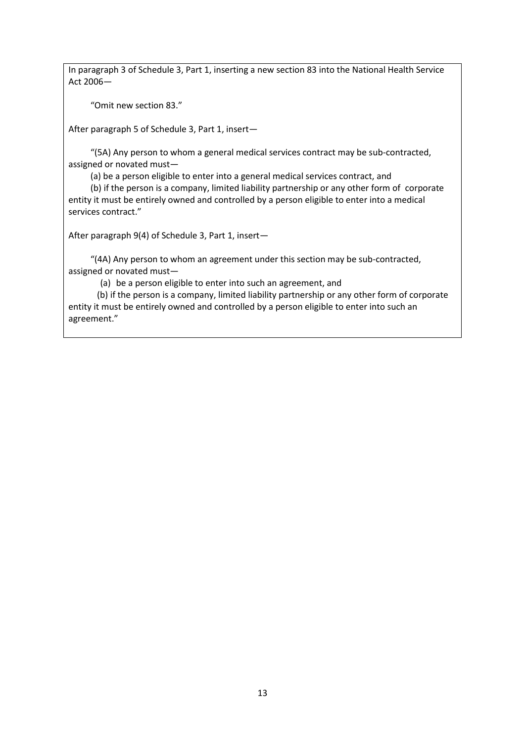In paragraph 3 of Schedule 3, Part 1, inserting a new section 83 into the National Health Service Act 2006—

"Omit new section 83."

After paragraph 5 of Schedule 3, Part 1, insert—

 "(5A) Any person to whom a general medical services contract may be sub-contracted, assigned or novated must—

(a) be a person eligible to enter into a general medical services contract, and

 (b) if the person is a company, limited liability partnership or any other form of corporate entity it must be entirely owned and controlled by a person eligible to enter into a medical services contract."

After paragraph 9(4) of Schedule 3, Part 1, insert—

 "(4A) Any person to whom an agreement under this section may be sub-contracted, assigned or novated must—

(a) be a person eligible to enter into such an agreement, and

 (b) if the person is a company, limited liability partnership or any other form of corporate entity it must be entirely owned and controlled by a person eligible to enter into such an agreement."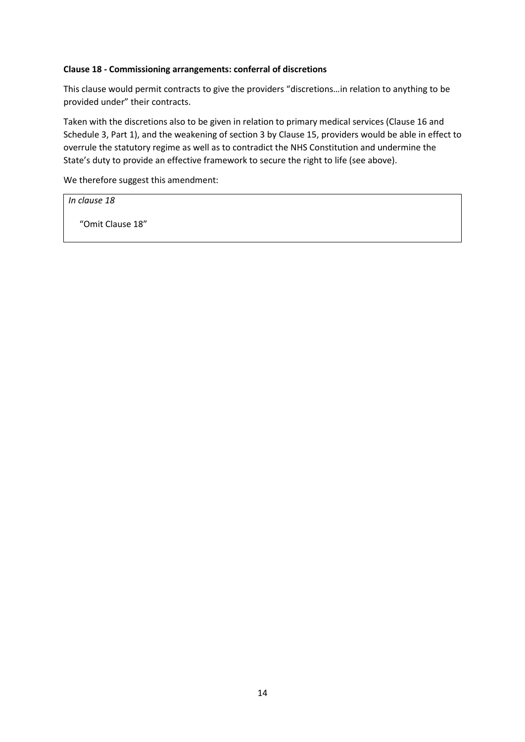#### **Clause 18 - Commissioning arrangements: conferral of discretions**

This clause would permit contracts to give the providers "discretions…in relation to anything to be provided under" their contracts.

Taken with the discretions also to be given in relation to primary medical services (Clause 16 and Schedule 3, Part 1), and the weakening of section 3 by Clause 15, providers would be able in effect to overrule the statutory regime as well as to contradict the NHS Constitution and undermine the State's duty to provide an effective framework to secure the right to life (see above).

We therefore suggest this amendment:

*In clause 18*

"Omit Clause 18"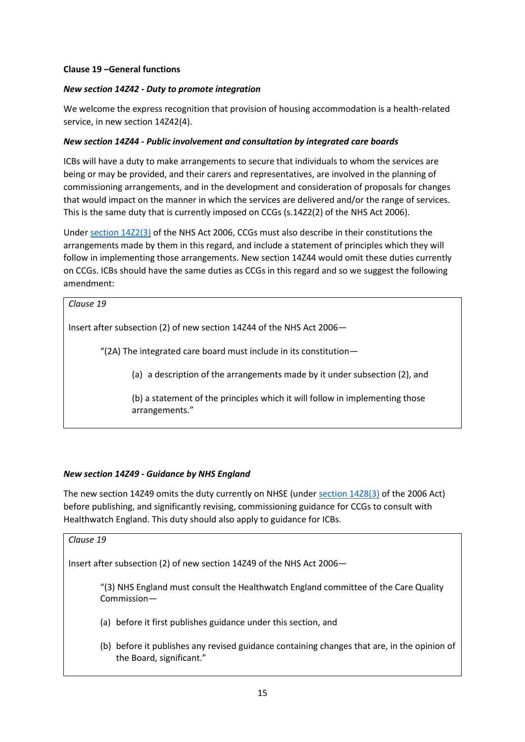#### **Clause 19 –General functions**

#### *New section 14Z42 - Duty to promote integration*

We welcome the express recognition that provision of housing accommodation is a health-related service, in new section 14Z42(4).

#### *New section 14Z44 - Public involvement and consultation by integrated care boards*

ICBs will have a duty to make arrangements to secure that individuals to whom the services are being or may be provided, and their carers and representatives, are involved in the planning of commissioning arrangements, and in the development and consideration of proposals for changes that would impact on the manner in which the services are delivered and/or the range of services. This is the same duty that is currently imposed on CCGs (s.14Z2(2) of the NHS Act 2006).

Under [section 14Z2\(3\)](https://www.legislation.gov.uk/ukpga/2006/41/section/14Z2) of the NHS Act 2006, CCGs must also describe in their constitutions the arrangements made by them in this regard, and include a statement of principles which they will follow in implementing those arrangements. New section 14Z44 would omit these duties currently on CCGs. ICBs should have the same duties as CCGs in this regard and so we suggest the following amendment:

#### *Clause 19*

Insert after subsection (2) of new section 14Z44 of the NHS Act 2006—

"(2A) The integrated care board must include in its constitution—

(a) a description of the arrangements made by it under subsection (2), and

(b) a statement of the principles which it will follow in implementing those arrangements."

#### *New section 14Z49 - Guidance by NHS England*

The new section 14Z49 omits the duty currently on NHSE (unde[r section 14Z8\(3\)](https://www.legislation.gov.uk/ukpga/2006/41/section/14Z8) of the 2006 Act) before publishing, and significantly revising, commissioning guidance for CCGs to consult with Healthwatch England. This duty should also apply to guidance for ICBs.

# *Clause 19* Insert after subsection (2) of new section 14Z49 of the NHS Act 2006— "(3) NHS England must consult the Healthwatch England committee of the Care Quality Commission— (a) before it first publishes guidance under this section, and (b) before it publishes any revised guidance containing changes that are, in the opinion of the Board, significant."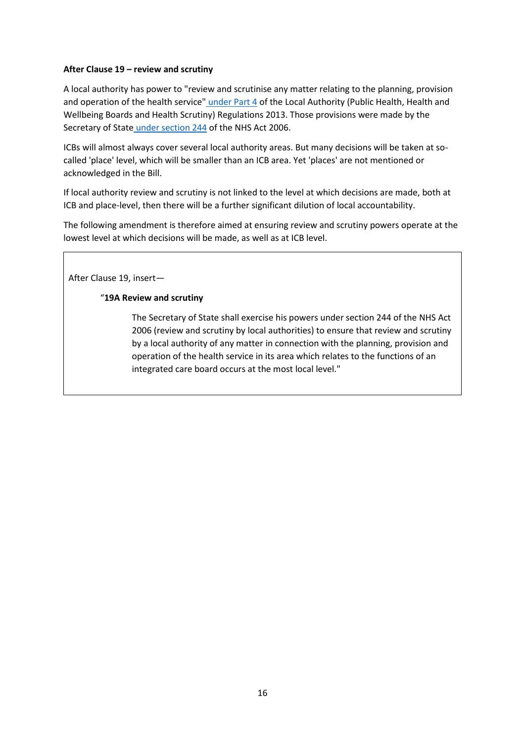#### **After Clause 19 – review and scrutiny**

A local authority has power to "review and scrutinise any matter relating to the planning, provision and operation of the health service" [under Part 4](https://www.legislation.gov.uk/uksi/2013/218/part/4/made) of the Local Authority (Public Health, Health and Wellbeing Boards and Health Scrutiny) Regulations 2013. Those provisions were made by the Secretary of State [under section 244](https://www.legislation.gov.uk/ukpga/2006/41/section/244) of the NHS Act 2006.

ICBs will almost always cover several local authority areas. But many decisions will be taken at socalled 'place' level, which will be smaller than an ICB area. Yet 'places' are not mentioned or acknowledged in the Bill.

If local authority review and scrutiny is not linked to the level at which decisions are made, both at ICB and place-level, then there will be a further significant dilution of local accountability.

The following amendment is therefore aimed at ensuring review and scrutiny powers operate at the lowest level at which decisions will be made, as well as at ICB level.

After Clause 19, insert—

#### "**19A Review and scrutiny**

The Secretary of State shall exercise his powers under section 244 of the NHS Act 2006 (review and scrutiny by local authorities) to ensure that review and scrutiny by a local authority of any matter in connection with the planning, provision and operation of the health service in its area which relates to the functions of an integrated care board occurs at the most local level."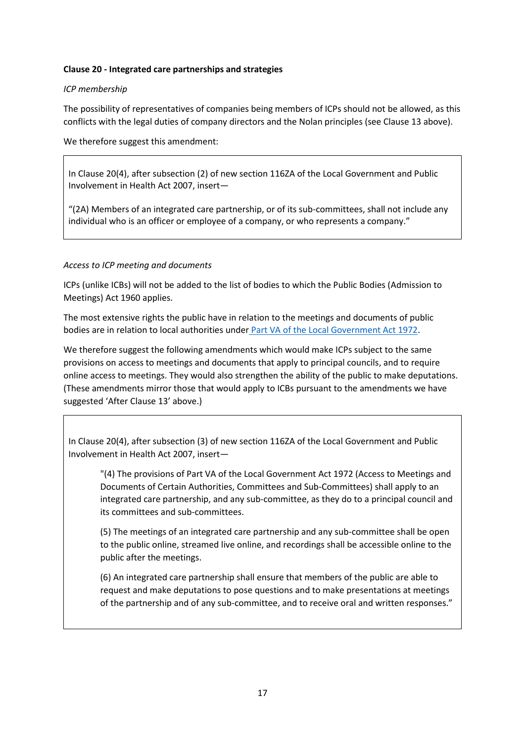#### **Clause 20 - Integrated care partnerships and strategies**

#### *ICP membership*

The possibility of representatives of companies being members of ICPs should not be allowed, as this conflicts with the legal duties of company directors and the Nolan principles (see Clause 13 above).

We therefore suggest this amendment:

In Clause 20(4), after subsection (2) of new section 116ZA of the Local Government and Public Involvement in Health Act 2007, insert—

"(2A) Members of an integrated care partnership, or of its sub-committees, shall not include any individual who is an officer or employee of a company, or who represents a company."

#### *Access to ICP meeting and documents*

ICPs (unlike ICBs) will not be added to the list of bodies to which the Public Bodies (Admission to Meetings) Act 1960 applies.

The most extensive rights the public have in relation to the meetings and documents of public bodies are in relation to local authorities under [Part VA of the Local Government Act 1972.](https://www.legislation.gov.uk/ukpga/1972/70/part/VA)

We therefore suggest the following amendments which would make ICPs subject to the same provisions on access to meetings and documents that apply to principal councils, and to require online access to meetings. They would also strengthen the ability of the public to make deputations. (These amendments mirror those that would apply to ICBs pursuant to the amendments we have suggested 'After Clause 13' above.)

In Clause 20(4), after subsection (3) of new section 116ZA of the Local Government and Public Involvement in Health Act 2007, insert—

"(4) The provisions of Part VA of the Local Government Act 1972 (Access to Meetings and Documents of Certain Authorities, Committees and Sub-Committees) shall apply to an integrated care partnership, and any sub-committee, as they do to a principal council and its committees and sub-committees.

(5) The meetings of an integrated care partnership and any sub-committee shall be open to the public online, streamed live online, and recordings shall be accessible online to the public after the meetings.

(6) An integrated care partnership shall ensure that members of the public are able to request and make deputations to pose questions and to make presentations at meetings of the partnership and of any sub-committee, and to receive oral and written responses."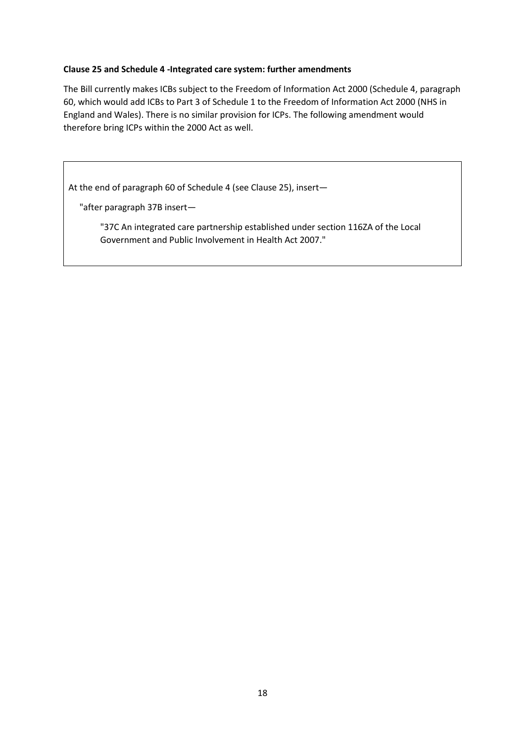#### **Clause 25 and Schedule 4 -Integrated care system: further amendments**

The Bill currently makes ICBs subject to the Freedom of Information Act 2000 (Schedule 4, paragraph 60, which would add ICBs to Part 3 of Schedule 1 to the Freedom of Information Act 2000 (NHS in England and Wales). There is no similar provision for ICPs. The following amendment would therefore bring ICPs within the 2000 Act as well.

At the end of paragraph 60 of Schedule 4 (see Clause 25), insert—

"after paragraph 37B insert—

"37C An integrated care partnership established under section 116ZA of the Local Government and Public Involvement in Health Act 2007."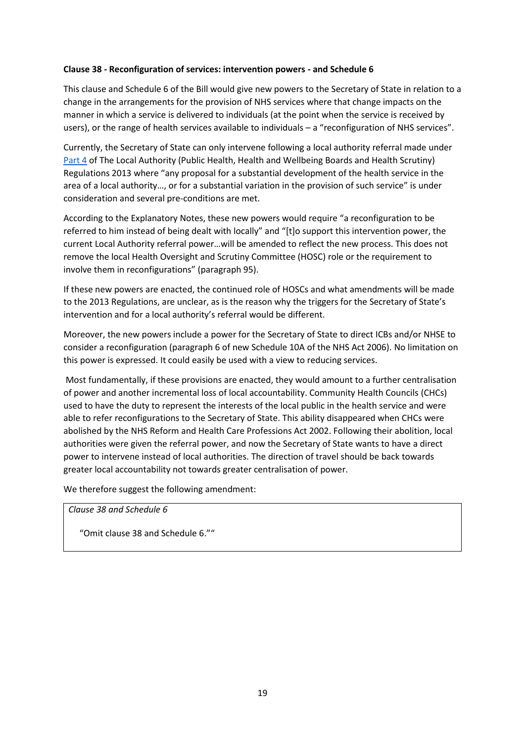#### **Clause 38 - Reconfiguration of services: intervention powers - and Schedule 6**

This clause and Schedule 6 of the Bill would give new powers to the Secretary of State in relation to a change in the arrangements for the provision of NHS services where that change impacts on the manner in which a service is delivered to individuals (at the point when the service is received by users), or the range of health services available to individuals – a "reconfiguration of NHS services".

Currently, the Secretary of State can only intervene following a local authority referral made under [Part 4](https://www.legislation.gov.uk/uksi/2013/218/part/4/made) of The Local Authority (Public Health, Health and Wellbeing Boards and Health Scrutiny) Regulations 2013 where "any proposal for a substantial development of the health service in the area of a local authority…, or for a substantial variation in the provision of such service" is under consideration and several pre-conditions are met.

According to the Explanatory Notes, these new powers would require "a reconfiguration to be referred to him instead of being dealt with locally" and "[t]o support this intervention power, the current Local Authority referral power…will be amended to reflect the new process. This does not remove the local Health Oversight and Scrutiny Committee (HOSC) role or the requirement to involve them in reconfigurations" (paragraph 95).

If these new powers are enacted, the continued role of HOSCs and what amendments will be made to the 2013 Regulations, are unclear, as is the reason why the triggers for the Secretary of State's intervention and for a local authority's referral would be different.

Moreover, the new powers include a power for the Secretary of State to direct ICBs and/or NHSE to consider a reconfiguration (paragraph 6 of new Schedule 10A of the NHS Act 2006). No limitation on this power is expressed. It could easily be used with a view to reducing services.

Most fundamentally, if these provisions are enacted, they would amount to a further centralisation of power and another incremental loss of local accountability. Community Health Councils (CHCs) used to have the duty to represent the interests of the local public in the health service and were able to refer reconfigurations to the Secretary of State. This ability disappeared when CHCs were abolished by the NHS Reform and Health Care Professions Act 2002. Following their abolition, local authorities were given the referral power, and now the Secretary of State wants to have a direct power to intervene instead of local authorities. The direction of travel should be back towards greater local accountability not towards greater centralisation of power.

We therefore suggest the following amendment:

*Clause 38 and Schedule 6* 

"Omit clause 38 and Schedule 6.""